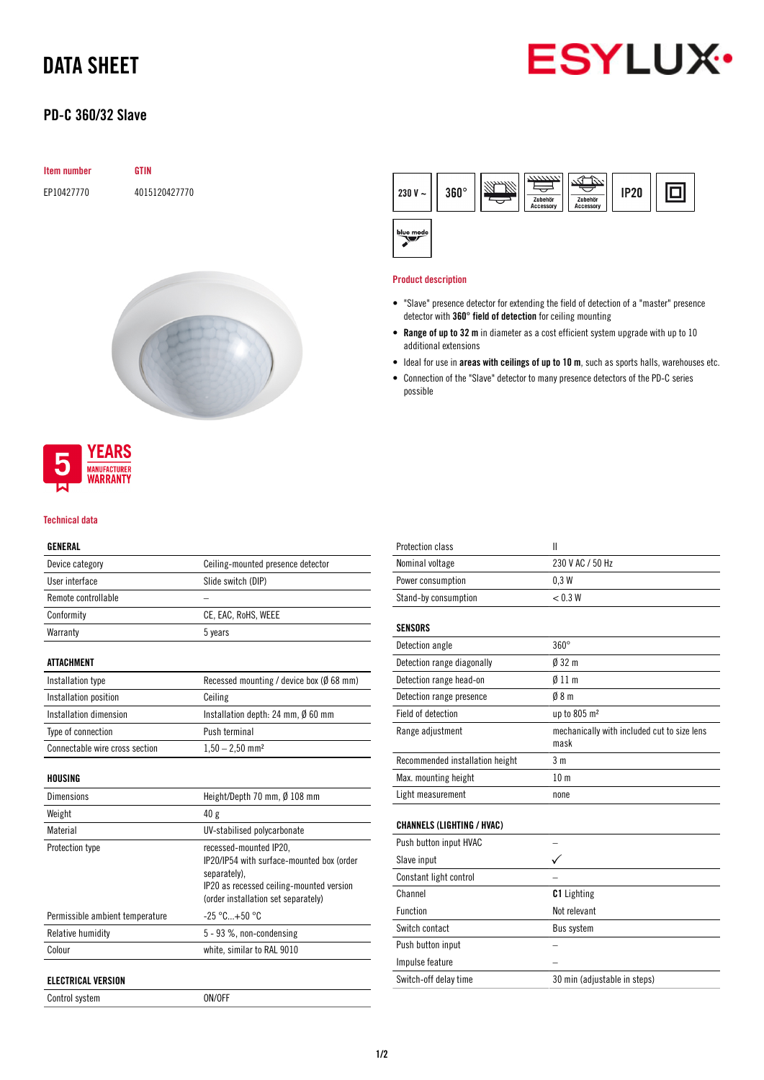# DATA SHEET

## PD-C 360/32 Slave



## Item number GTIN EP10427770 4015120427770



## YEARS **MANUFACTURER** WARRANTY

#### Technical data

### GENERAL

| Device category                | Ceiling-mounted presence detector                                                  |
|--------------------------------|------------------------------------------------------------------------------------|
| User interface                 | Slide switch (DIP)                                                                 |
| Remote controllable            |                                                                                    |
| Conformity                     | CE, EAC, RoHS, WEEE                                                                |
| Warranty                       | 5 years                                                                            |
| ATTACHMENT                     |                                                                                    |
| Installation type              | Recessed mounting / device box ( $\emptyset$ 68 mm)                                |
| Installation position          | Ceiling                                                                            |
| Installation dimension         | Installation depth: 24 mm, $\emptyset$ 60 mm                                       |
| Type of connection             | Push terminal                                                                      |
| Connectable wire cross section | $1,50 - 2,50$ mm <sup>2</sup>                                                      |
| HOUSING                        |                                                                                    |
| Dimensions                     | Height/Depth 70 mm, $\emptyset$ 108 mm                                             |
| Weight                         | 40 g                                                                               |
| Material                       | UV-stabilised polycarbonate                                                        |
| <b>Protection type</b>         | recessed-mounted IP20,<br>IP20/IP54 with surface-mounted box (order<br>senarately) |

|                                 | separately).<br>IP20 as recessed ceiling-mounted version<br>(order installation set separately) |
|---------------------------------|-------------------------------------------------------------------------------------------------|
| Permissible ambient temperature | $-25\,^{\circ}\text{C}$ +50 $^{\circ}\text{C}$                                                  |
| Relative humidity               | $5 - 93$ %, non-condensing                                                                      |
| Colour                          | white, similar to RAL 9010                                                                      |
|                                 |                                                                                                 |

### ELECTRICAL VERSION

Control system ON/OFF



#### Product description

- "Slave" presence detector for extending the field of detection of a "master" presence detector with 360° field of detection for ceiling mounting
- Range of up to 32 m in diameter as a cost efficient system upgrade with up to 10 additional extensions
- Ideal for use in areas with ceilings of up to 10 m, such as sports halls, warehouses etc.
- Connection of the "Slave" detector to many presence detectors of the PD-C series possible

| Protection class                  | II                                                  |
|-----------------------------------|-----------------------------------------------------|
| Nominal voltage                   | 230 V AC / 50 Hz                                    |
| Power consumption                 | 0.3W                                                |
| Stand-by consumption              | < 0.3 W                                             |
|                                   |                                                     |
| <b>SENSORS</b>                    |                                                     |
| Detection angle                   | $360^\circ$                                         |
| Detection range diagonally        | $032 \text{ m}$                                     |
| Detection range head-on           | $\emptyset$ 11 m                                    |
| Detection range presence          | $\emptyset$ 8 m                                     |
| Field of detection                | up to 805 m <sup>2</sup>                            |
| Range adjustment                  | mechanically with included cut to size lens<br>mask |
| Recommended installation height   | 3 <sub>m</sub>                                      |
| Max. mounting height              | 10 <sub>m</sub>                                     |
| Light measurement                 | none                                                |
|                                   |                                                     |
| <b>CHANNELS (LIGHTING / HVAC)</b> |                                                     |
| Push button input HVAC            |                                                     |
| Slave input                       |                                                     |
| Constant light control            |                                                     |
|                                   |                                                     |

| <b>OURSTANT REAL CONTRACT</b> |                              |
|-------------------------------|------------------------------|
| Channel                       | <b>C1</b> Lighting           |
| Function                      | Not relevant                 |
| Switch contact                | <b>Bus system</b>            |
| Push button input             |                              |
| Impulse feature               |                              |
| Switch-off delay time         | 30 min (adjustable in steps) |
|                               |                              |